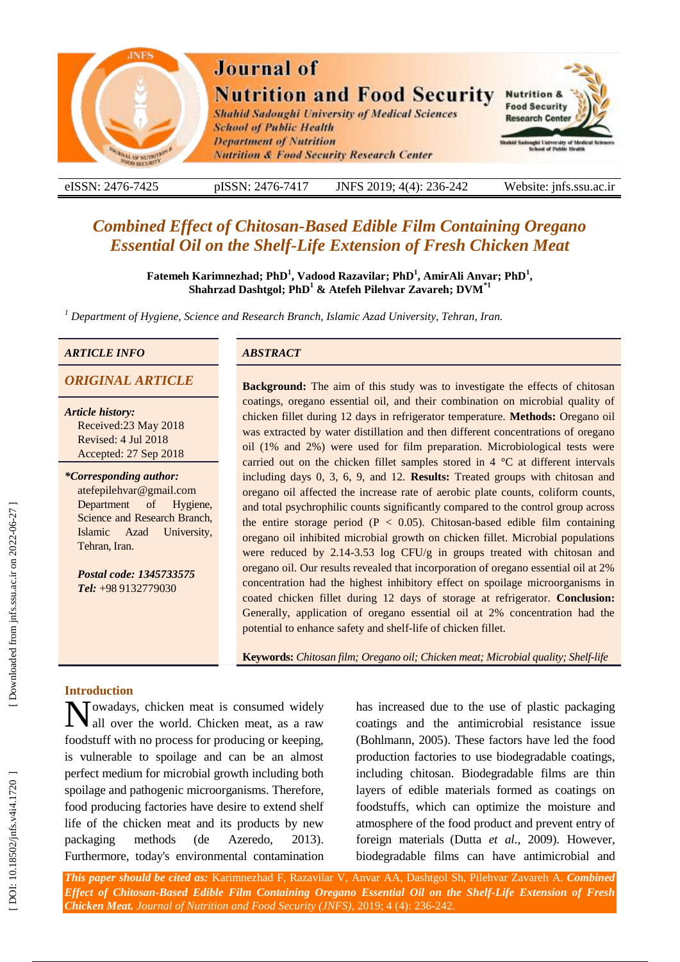

eISSN: 2476-7425 pISSN: 2476-7417 -7417 JNFS 201 9; 4 ( 4): 236 Website: jnfs.ssu.ac.ir

# *Combined Effect of Chitosan -Based Edible Film Containing Oregano Essential Oil on the Shelf-Life Extension of Fresh Chicken Meat*

**Fatemeh Karimnezhad ; PhD 1 , Vadood Razavilar ; PhD 1 , AmirAli Anvar; PhD 1 , Shahrzad Dashtgol ; PhD 1 & Atefeh Pilehvar Zavareh; DVM\*1**

*<sup>1</sup> Department of Hygiene, Science and Research Branch, Islamic Azad University, Tehran, Iran.* 

#### *ARTICLE INFO ABSTRACT*

*Article history:* Received:23 May 2018 Revised: 4 Jul 2018 Accepted: 27 Sep 2018

#### *\*Corresponding author:*

atefepilehvar@gmail.com Department of Hygiene, Science and Research Branch, Islamic Azad University, Tehran, Iran .

*Postal code: 1345733575 Tel:* +98 9132779030

**ORIGINAL ARTICLE Background:** The aim of this study was to investigate the effects of chitosan coatings, oregano essential oil, and their combination on microbial quality of chicken fillet during 12 days in refrigerator temperature. **Methods:** Oregano oil was extracted by water distillation and then different concentrations of oregano oil (1% and 2%) were used for film preparation. Microbiological tests were carried out on the chicken fillet samples stored in 4 °C at different intervals including days 0, 3, 6, 9, and 12. **Results:** Treated groups with chitosan and oregano oil affected the increase rate of aerobic plate counts, coliform counts, and total psychrophilic counts significantly compared to the control group across the entire storage period ( $P < 0.05$ ). Chitosan-based edible film containing oregano oil inhibited microbial growth on chicken fillet. Microbial populations were reduced by 2.14 -3.53 log CFU/g in groups treated with chitosan and oregano oil. Our results revealed that incorporation of oregano essential oil at 2% concentration had the highest inhibitory effect on spoilage microorganisms in coated chicken fillet during 12 days of storage at refrigerator. **Conclusion:** Generally, application of oregano essential oil at 2% concentration had the potential to enhance safety and shel f-life of chicken fillet.

**Keywords:** *Chitosan film ; Oregano oil ; Chicken meat; Microbial quality ; Shelf-life*

### **Introduction**

Nowadays, chicken meat is consumed widely<br>all over the world. Chicken meat, as a raw all over the world . Chicken meat , as a raw foodstuff with no process for producing or keeping, is vulnerable to spoilage and can be an almost perfect medium for microbial growth including both spoilage and pathogenic microorganisms. Therefore, food producing factories have desire to extend shelf life of the chicken meat and its products by new packaging methods (de Azeredo, 2013). Furthermore, today's environmental contamination

has increased due to the use of plastic packaging coatings and the antimicrobial resistance issue (Bohlmann, 2005). These factors have led the food production factories to use biodegradable coatings, including chitosan. Biodegradable films are thin layers of edible materials formed as coatings on foodstuffs , which can optimize the moisture and atmosphere of the food product and prevent entry of foreign materials (Dutta *et al.*, 2009 ). However, biodegradable films can have antimicrobial and

*This paper should be cited as:* Karimnezhad F, Razavilar V, Anvar AA, Dashtgol Sh, Pilehvar Zavareh A . *Combined Effect of Chitosan -Based Edible Film Containing Oregano Essential Oil on the Shelf-Life Extension of Fresh*  Chicken Meat. Journal of Nutrition and Food Security (JNFS), 2019; 4 (4): 236-242.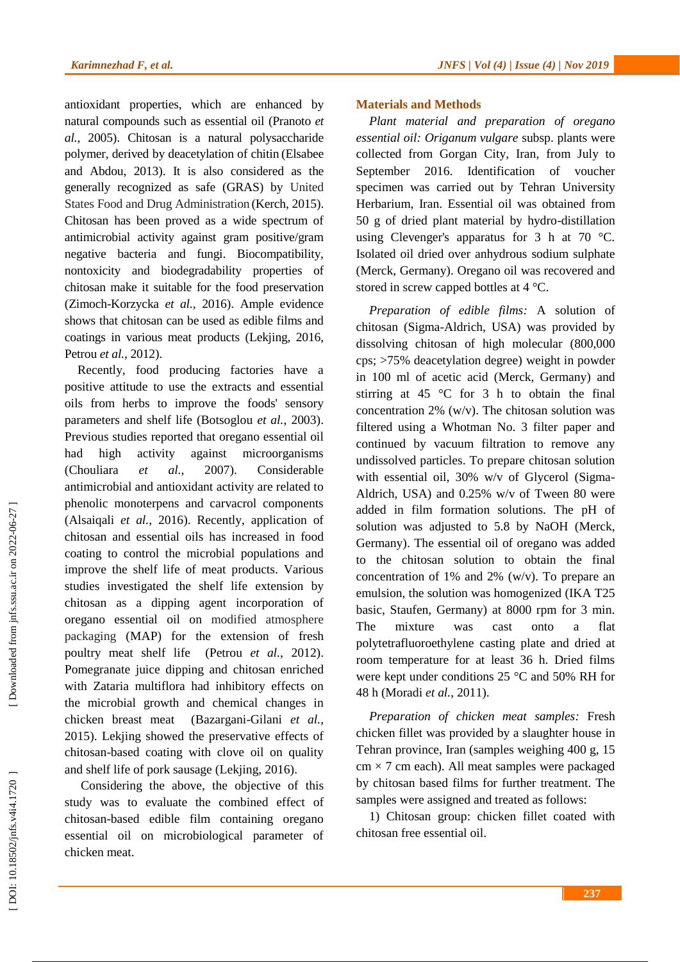antioxidant properties, which are enhanced by natural compounds such as essential oil (Pranoto *et al.*, 2005 ). Chitosan is a natural polysaccharide polymer, derived by deacetylation of chitin (Elsabee and Abdou, 2013 ). It is also considered as the generally recognized as safe (GRAS) by United States Food and Drug Administration (Kerch, 2015 ). Chitosan has been proved as a wide spectrum of antimicrobial activity against gram positive/gram negative bacteria and fungi. Biocompatibility, nontoxicity and biodegradability properties of chitosan make it suitable for the food preservation (Zimoch-Korzycka *et al.*, 2016). Ample evidence shows that chitosan can be used as edible films and coatings in various meat products (Lekjing, 2016, Petrou *et al.*, 2012 ) .

Recently, food producing factories have a positive attitude to use the extracts and essential oils from herbs to improve the foods' sensory parameters and shelf life (Botsoglou *et al.*, 2003 ). Previous studies reported that oregano essential oil ha high activity against microorganisms (Chouliara *et al.*, 2007 ). Considerable antimicrobial and antioxidant activity are related to phenolic monoterpens and carvacrol components (Alsaiqali *et al.*, 2016). Recently, application of chitosan and essential oils has increased in food coating to control the microbial populations and improve the shelf life of meat products. Various studies investigated the shelf life extension by chitosan as a dipping agent incorporation of oregano essential oil on modified atmosphere packaging (MAP ) for the extension of fresh poultry meat shelf life (Petrou *et al.*, 2012 ). Pomegranate juice dipping and chitosan enriched with Zataria multiflora had inhibitory effects on the microbial growth and chemical changes in chicken breast meat (Bazargani -Gilani *et al.*, 2015 ). Lekjing showed the preservative effects of chitosan -based coating with clove oil on quality and shelf life of pork sausage (Lekjing, 2016 ) .

Considering the above, the objective of this study was to evaluate the combined effect of chitosan -based edible film containing oregano essential oil on microbiological parameter of chicken meat.

# **Materials and Methods**

*Plant material and preparation of oregano essential oil: Origanum vulgare* subsp . plants were collected from Gorgan City, Iran, from July to September 2016. Identification of voucher specimen was carried out by Tehran University Herbarium, Iran. Essential oil was obtained from 50 g of dried plant material by hydro -distillation using Clevenger's apparatus for 3 h at 70 °C. Isolated oil dried over anhydrous sodium sulphate (Merck, Germany). Oregano oil was recovered and stored in screw capped bottles at 4 °C.

*Preparation of edible films :* A solution of chitosan (Sigma -Aldrich, USA) was provided by dissolving chitosan of high molecular (800,000 cps; >75% deacetylation degree) weight in powder in 100 ml of acetic acid (Merck, Germany) and stirring at 45  $\degree$ C for 3 h to obtain the final concentration 2% (w/v). The chitosan solution was filtered using a Whotman No. 3 filter paper and continued by vacuum filtration to remove any undissolved particles. To prepare chitosan solution with essential oil, 30% w/v of Glycerol (Sigma - Aldrich, USA) and 0.25% w/v of Tween 80 were added in film formation solutions. The pH of solution was adjusted to 5.8 by NaOH (Merck, Germany). The essential oil of oregano was added to the chitosan solution to obtain the final concentration of 1% and 2% (w/v). To prepare an emulsion, the solution was homogenized (IKA T25 basic, Staufen, Germany) at 8000 rpm for 3 min. The mixture was cast onto a flat polytetrafluoroethylene casting plate and dried at room temperature for at least 36 h. Dried films were kept under conditions 25 °C and 50% RH for 48 h (Moradi *et al.*, 2011 ) .

*Preparation of chicken meat samples :* Fresh chicken fillet was provided by a slaughter house in Tehran province , Iran (samples weighing 400 g, 15  $cm \times 7$  cm each). All meat samples were packaged by chitosan based films for further treatment. The samples were assigned and treated as follows:

1) Chitosan group: chicken fillet coated with chitosan free essential oil.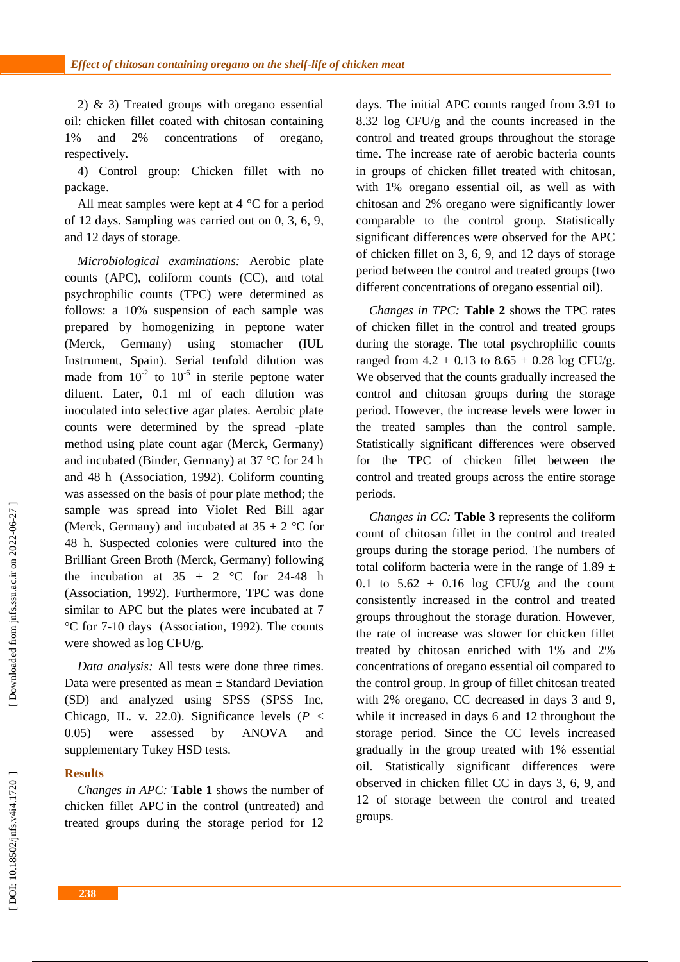2) & 3) Treated groups with oregano essential oil: chicken fillet coated with chitosan containing 1% and 2% concentrations of oregano, respectively.

4) Control group: Chicken fillet with no package .

All meat samples were kept at 4 °C for a period of 12 days. Sampling was carried out on 0, 3, 6, 9 , and 12 days of storage.

*Microbiological examinations :* Aerobic plate counts (APC), coliform counts (CC) , and total psychrophilic counts (TPC) were determined as follows: a 10% suspension of each sample was prepared by homogenizing in peptone water (Merck, Germany) using stomacher (IUL Instrument, Spain). Serial tenfold dilution was made from  $10^{-2}$  to  $10^{-6}$  in sterile peptone water diluent. Later, 0.1 ml of each dilution was inoculated into selective agar plates. Aerobic plate counts were determined by the spread -plate method using plate count agar (Merck, Germany) and incubated (Binder, Germany) at 37 °C for 24 h and 48 h (Association, 1992 ). Coliform counting was assessed on the basis of pour plate method; the sample was spread into Violet Red Bill agar (Merck, Germany) and incubated at  $35 \pm 2$  °C for 48 h. Suspected colonies were cultured into the Brilliant Green Broth (Merck, Germany) following the incubation at  $35 \pm 2$  °C for 24-48 h (Association, 1992 ). Furthermore, TPC was done similar to APC but the plates were incubated at 7 °C for 7 -10 days (Association, 1992 ). The counts were showed as log CFU/g.

*Data analysis :* All tests were done three times. Data were presented as mean  $\pm$  Standard Deviation (SD) and analyzed using SPSS (SPSS Inc, Chicago, IL. v. 22.0). Significance levels (*P*  < 0.05) were assessed by ANOVA and supplementary Tukey HSD tests.

### **Results**

*Changes in APC:* **Table 1** shows the number of chicken fillet APC in the control (untreated) and treated groups during the storage period for 12 days. The initial APC counts ranged from 3.91 to 8.32 log CFU/g and the counts increased in the control and treated groups throughout the storage time. The increase rate of aerobic bacteria counts in groups of chicken fillet treated with chitosan , with 1% oregano essential oil , as well as with chitosan and 2% oregano were significantly lower comparable to the control group. Statistically significant differences were observed for the APC of chicken fillet on 3, 6, 9 , and 12 days of storage period between the control and treated groups (two different concentrations of oregano essential oil).

*Changes in TPC :* **Table 2** shows the TPC rates of chicken fillet in the control and treated groups during the storage. The total psychrophilic counts ranged from  $4.2 \pm 0.13$  to  $8.65 \pm 0.28$  log CFU/g. We observed that the counts gradually increased the control and chitosan groups during the storage period. However, the increase levels were lower in the treated samples than the control sample. Statistically significant differences were observed for the TPC of chicken fillet between the control and treated groups across the entire storage period s.

*Changes in CC :* **Table 3** represents the coliform count of chitosan fillet in the control and treated groups during the storage period. The numbers of total coliform bacteria were in the range of 1.89  $\pm$ 0.1 to  $5.62 \pm 0.16$  log CFU/g and the count consistently increased in the control and treated groups throughout the storage duration. However, the rate of increase was slower for chicken fillet treated by chitosan enriched with 1% and 2% concentrations of oregano essential oil compared to the control group. In group of fillet chitosan treated with 2% oregano, CC decreased in days 3 and 9, while it increased in days 6 and 12 throughout the storage period. Since the CC levels increased gradually in the group treated with 1% essential oil. Statistically significant differences were observed in chicken fillet CC in days 3, 6, 9 , and 12 of storage between the control and treated groups.

Downloaded from jnfs.ssu.ac.ir on 2022-06-27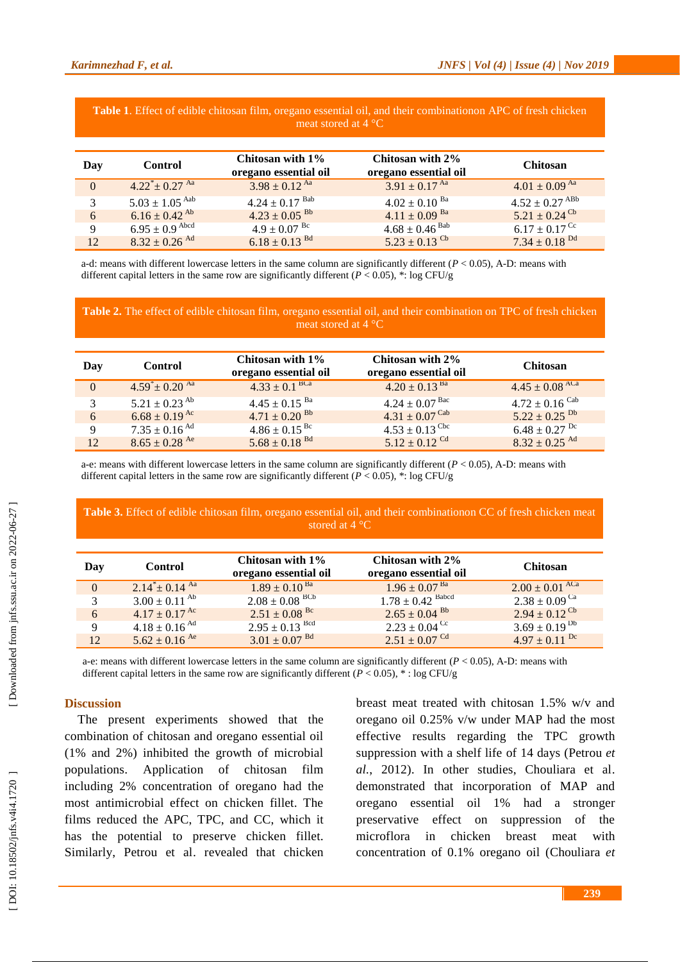| <b>Twore In Extract of contract chilliophii finite</b> , of expenses coordinate only<br>meat stored at $4^{\circ}$ C |                               |                                           |                                           |                                |  |  |  |
|----------------------------------------------------------------------------------------------------------------------|-------------------------------|-------------------------------------------|-------------------------------------------|--------------------------------|--|--|--|
| Day                                                                                                                  | <b>Control</b>                | Chitosan with 1%<br>oregano essential oil | Chitosan with 2%<br>oregano essential oil | <b>Chitosan</b>                |  |  |  |
| $\Omega$                                                                                                             | $4.22^* \pm 0.27$ Aa          | $3.98 \pm 0.12$ <sup>Aa</sup>             | $3.91 \pm 0.17$ Aa                        | $4.01 \pm 0.09$ Aa             |  |  |  |
|                                                                                                                      | $5.03 \pm 1.05$ Aab           | $4.24 \pm 0.17$ Bab                       | $4.02 \pm 0.10$ <sup>Ba</sup>             | $4.52 \pm 0.27$ <sup>ABb</sup> |  |  |  |
| 6                                                                                                                    | $6.16 \pm 0.42$ <sup>Ab</sup> | $4.23 \pm 0.05$ <sup>Bb</sup>             | $4.11 \pm 0.09$ <sup>Ba</sup>             | $5.21 \pm 0.24$ <sup>Cb</sup>  |  |  |  |
| 9                                                                                                                    | $6.95 \pm 0.9$ Abcd           | $4.9 \pm 0.07$ <sup>Bc</sup>              | $4.68 \pm 0.46$ <sup>Bab</sup>            | $6.17 \pm 0.17$ <sup>Cc</sup>  |  |  |  |
| 12                                                                                                                   | $8.32 \pm 0.26$ <sup>Ad</sup> | $6.18 \pm 0.13$ <sup>Bd</sup>             | $5.23 \pm 0.13$ <sup>Cb</sup>             | $7.34 \pm 0.18$ <sup>Dd</sup>  |  |  |  |

**Table 1**. Effect of edible chitosan film, oregano essential oil, and their combinationon APC of fresh chicken

a-d: means with different lowercase letters in the same column are significantly different  $(P < 0.05)$ , A-D: means with different capital letters in the same row are significantly different  $(P < 0.05)$ , \*: log CFU/g

**Table 2.** The effect of edible chitosan film, oregano essential oil, and their combination on TPC of fresh chicken meat stored at  $4^{\circ}$ C

| Day         | Control                       | Chitosan with 1\%<br>oregano essential oil | Chitosan with 2%<br>oregano essential oil | <b>Chitosan</b>               |
|-------------|-------------------------------|--------------------------------------------|-------------------------------------------|-------------------------------|
| $\Omega$    | $4.59^* \pm 0.20$ Aa          | $4.33 \pm 0.1$ <sup>BCa</sup>              | $4.20 \pm 0.13$ <sup>Ba</sup>             | $4.45 \pm 0.08$ ACa           |
| 3           | $5.21 \pm 0.23$ <sup>Ab</sup> | $4.45 \pm 0.15$ <sup>Ba</sup>              | $4.24 \pm 0.07$ Bac                       | $4.72 \pm 0.16$ Cab           |
| 6           | $6.68 \pm 0.19$ <sup>Ac</sup> | $4.71 \pm 0.20$ <sup>Bb</sup>              | $4.31 \pm 0.07$ Cab                       | $5.22 \pm 0.25$ <sup>Db</sup> |
| $\mathbf Q$ | $7.35 \pm 0.16$ <sup>Ad</sup> | $4.86 \pm 0.15$ <sup>Bc</sup>              | $4.53 \pm 0.13$ <sup>Cbc</sup>            | $6.48 \pm 0.27$ <sup>Dc</sup> |
| 12          | $8.65 \pm 0.28$ Ae            | $5.68 \pm 0.18$ <sup>Bd</sup>              | $5.12 \pm 0.12$ <sup>Cd</sup>             | $8.32 \pm 0.25$ <sup>Ad</sup> |

a-e: means with different lowercase letters in the same column are significantly different  $(P < 0.05)$ , A-D: means with different capital letters in the same row are significantly different  $(P < 0.05)$ , \*: log CFU/g

### **Table 3.** Effect of edible chitosan film, oregano essential oil, and their combinationon CC of fresh chicken meat stored at 4 °C

| Day      | <b>Control</b>                | Chitosan with 1\%<br>oregano essential oil | Chitosan with 2%<br>oregano essential oil | <b>Chitosan</b>               |
|----------|-------------------------------|--------------------------------------------|-------------------------------------------|-------------------------------|
| $\Omega$ | $2.14^* \pm 0.14^{\text{Aa}}$ | $1.89 \pm 0.10^{ \text{ Ba}}$              | $1.96 \pm 0.07^{Ba}$                      | $2.00 \pm 0.01$ ACa           |
| 3        | $3.00 \pm 0.11$ <sup>Ab</sup> | $2.08 \pm 0.08$ BCb                        | $1.78 \pm 0.42$ Babcd                     | $2.38 \pm 0.09$ <sup>Ca</sup> |
| 6        | $4.17 \pm 0.17$ <sup>Ac</sup> | $2.51 \pm 0.08$ <sup>Bc</sup>              | $2.65 \pm 0.04$ <sup>Bb</sup>             | $2.94 \pm 0.12^{\text{Cb}}$   |
| 9        | $4.18 \pm 0.16$ <sup>Ad</sup> | $2.95 \pm 0.13$ Bcd                        | $2.23 \pm 0.04$ <sup>Cc</sup>             | $3.69 \pm 0.19^{bb}$          |
| 12       | $5.62 \pm 0.16$ <sup>Ae</sup> | $3.01 \pm 0.07$ <sup>Bd</sup>              | $2.51 \pm 0.07$ <sup>Cd</sup>             | $4.97 \pm 0.11$ <sup>Dc</sup> |

a-e: means with different lowercase letters in the same column are significantly different  $(P < 0.05)$ , A-D: means with different capital letters in the same row are significantly different ( $P < 0.05$ ),  $*$ : log CFU/g

# **Discussion**

The present experiments showed that the combination of chitosan and oregano essential oil (1% and 2%) inhibited the growth of microbial populations. Application of chitosan film including 2% concentration of oregano ha d the most antimicrobial effect on chicken fillet. The films reduce d the APC, TPC , and CC , which it has the potential to preserv e chicken fillet. Similarly, Petrou et al . revealed that chicken breast meat treated with chitosan 1.5% w/v and oregano oil 0.25% v/w under MAP had the most effective results regarding the TPC growth suppression with a shelf life of 14 days (Petrou *et al.*, 2012 ). In other studies, Chouliara et al. demonstrated that incorporation of MAP and oregano essential oil 1% had a stronger preservative effect on suppression of the microflora in chicken breast meat with concentration of 0.1% oregano oil (Chouliara *et*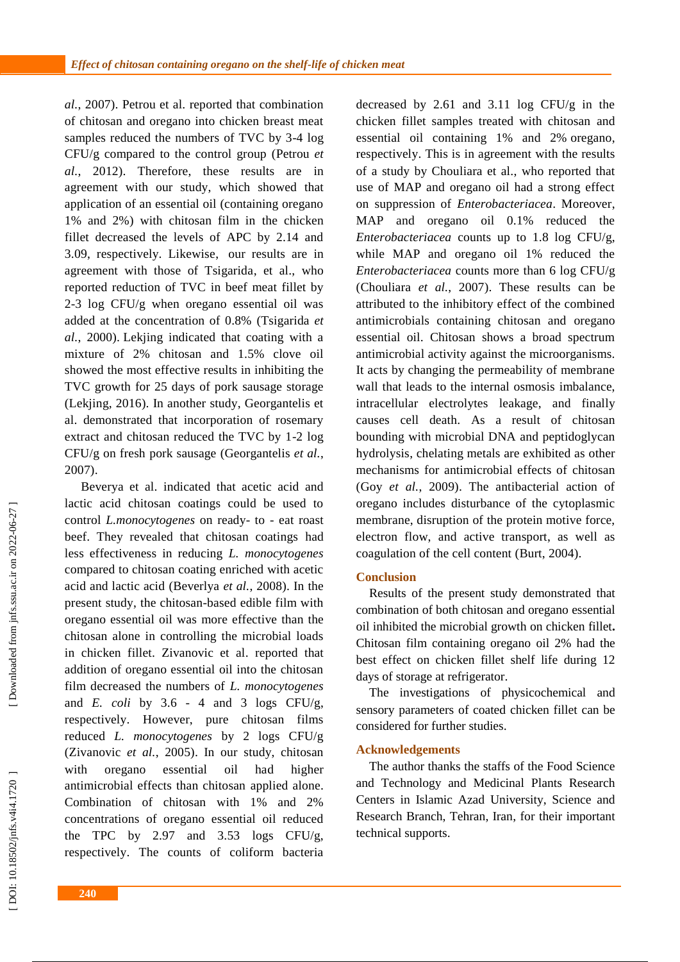*al.*, 2007 ). Petrou et al. reported that combination of chitosan and oregano into chicken breast meat samples reduced the numbers of TVC by 3 -4 log CFU/g compared to the control group (Petrou *et al.*, 2012 ). Therefore, these results are in agreement with our study , which showed that application of an essential oil (containing oregano 1% and 2%) with chitosan film in the chicken fillet decreased the levels of APC by 2.14 and 3.09 , respectively. Likewise , our results are in agreement with those of Tsigarida , et al., who reported reduction of TVC in beef meat fillet by 2-3 log CFU/g when oregano essential oil was added at the concentration of 0.8% (Tsigarida *et al.*, 2000 ) . Lekjing indicated that coating with a mixture of 2% chitosan and 1.5% clove oil showed the most effective results in inhibiting the TVC growth for 25 days of pork sausage storage (Lekjing, 2016). In another study, Georgantelis et al. demonstrated that incorporation of rosemary extract and chitosan reduced the TVC by 1 -2 log CFU/g on fresh pork sausage (Georgantelis *et al.*, 2007 ) .

Beverya et al. indicated that acetic acid and lactic acid chitosan coatings could be used to control *L.monocytogenes* on ready- to - eat roast beef. They revealed that chitosan coatings had less effectiveness in reducing *L. monocytogenes* compared to chitosan coating enriched with acetic acid and lactic acid (Beverlya *et al.*, 2008 ). In the present study, the chitosan -based edible film with oregano essential oil was more effective than the chitosan alone in controlling the microbial loads in chicken fillet. Zivanovic et al. reported that addition of oregano essential oil into the chitosan film decreased the numbers of *L. monocytogenes* and  $E.$   $\text{coli}$  by  $3.6 - 4$  and  $3$  logs CFU/g, respectively. However, pure chitosan films reduced *L. monocytogenes* by 2 logs CFU/g (Zivanovic *et al.*, 2005). In our study, chitosan with oregano essential oil had higher antimicrobial effects than chitosan applied alone. Combination of chitosan with 1% and 2% concentrations of oregano essential oil reduced the TPC by 2.97 and 3.53 logs CFU/g, respectively. The counts of coliform bacteria

decreased by 2.61 and 3.11 log CFU/g in the chicken fillet samples treated with chitosan and essential oil containing 1% and 2% oregano, respectively. This is in agreement with the results of a study by Chouliara et al. , who reported that use of MAP and oregano oil had a strong effect on suppression of *Enterobacteriacea*. Moreover, MAP and oregano oil 0.1% reduced the *Enterobacteriacea* counts up to 1.8 log CFU/g, while MAP and oregano oil 1% reduced the *Enterobacteriacea* counts more than 6 log CFU/g (Chouliara *et al.*, 2007). These results can be attributed to the inhibitory effect of the combined antimicrobials containing chitosan and oregano essential oil. Chitosan shows a broad spectrum antimicrobial activity against the microorganisms. It act s by changing the permeability of membrane wall that lead s to the internal osmosis imbalance, intracellular electrolytes leakage, and finally cause s cell death. As a result of chitosan bounding with microbial DNA and peptidoglycan hydrolysis , chelating metals are exhibited as other mechanisms for antimicrobial effects of chitosan (Goy *et al.*, 2009 ). The antibacterial action of oregano includes disturbance of the cytoplasmic membrane, disruption of the protein motive force, electron flow, and active transport , as well as coagulation of the cell content (Burt, 2004 ) .

# **Conclusion**

Results of the present study demonstrate d that combination of both chitosan and oregano essential oil inhibited the microbial growth on chicken fillet **.** Chitosan film containing oregano oil 2% had the best effect on chicken fillet shelf life during 12 days of storage at refrigerator.

The investigation s of physicochemical and sensory parameters of coated chicken fillet can be considered for further studies.

### **Acknowledgements**

The author thanks the staffs of the Food Science and Technology and Medicinal Plants Research Centers in Islamic Azad University, Science and Research Branch, Tehran, Iran , for their important technical supports.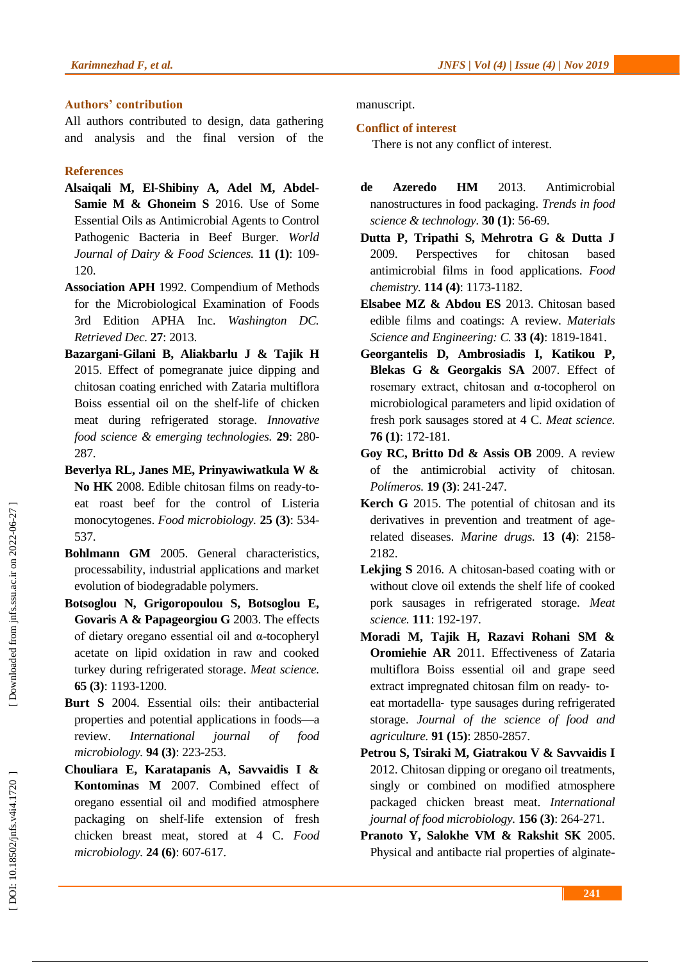# **Authors' contribution**

All authors contributed to design, data gathering and analysis and the final version of the

# **References**

- **Alsaiqali M, El -Shibiny A, Adel M, Abdel - Samie M & Ghoneim S** 2016. Use of Some Essential Oils as Antimicrobial Agents to Control Pathogenic Bacteria in Beef Burger. *World Journal of Dairy & Food Sciences.* **11 (1)**: 109 - 120.
- **Association APH** 1992. Compendium of Methods for the Microbiological Examination of Foods 3rd Edition APHA Inc. *Washington DC. Retrieved Dec.* **27**: 2013.
- **Bazargani -Gilani B, Aliakbarlu J & Tajik H**  2015. Effect of pomegranate juice dipping and chitosan coating enriched with Zataria multiflora Boiss essential oil on the shelf-life of chicken meat during refrigerated storage. *Innovative food science & emerging technologies.* **29**: 280 - 287.
- **Beverlya RL, Janes ME, Prinyawiwatkula W &**  No HK 2008. Edible chitosan films on ready-toeat roast beef for the control of Listeria monocytogenes. *Food microbiology.* **25 (3)**: 534 - 537.
- **Bohlmann GM** 2005. General characteristics, processability, industrial applications and market evolution of biodegradable polymers.
- **Botsoglou N, Grigoropoulou S, Botsoglou E, Govaris A & Papageorgiou G** 2003. The effects of dietary oregano essential oil and α -tocopheryl acetate on lipid oxidation in raw and cooked turkey during refrigerated storage. *Meat science.* **65 (3)**: 1193 -1200.
- **Burt S** 2004. Essential oils: their antibacterial properties and potential applications in foods —a review. *International journal of food microbiology.* **94 (3)**: 223 -253.
- **Chouliara E, Karatapanis A, Savvaidis I & Kontominas M** 2007. Combined effect of oregano essential oil and modified atmosphere packaging on shelf-life extension of fresh chicken breast meat, stored at 4 C. *Food microbiology.* **24 (6)**: 607 -617.

manuscript.

# **Conflict of interest**

There is not any conflict of interest.

- **de Azeredo HM** 2013. Antimicrobial nanostructures in food packaging. *Trends in food science & technology.* **30 (1)**: 56 -69.
- **Dutta P, Tripathi S, Mehrotra G & Dutta J**  2009. Perspectives for chitosan based antimicrobial films in food applications. *Food chemistry.* **114 (4)**: 1173 -1182.
- **Elsabee MZ & Abdou ES** 2013. Chitosan based edible films and coatings: A review. *Materials Science and Engineering: C.* **33 (4)**: 1819 -1841.
- **Georgantelis D, Ambrosiadis I, Katikou P, Blekas G & Georgakis SA** 2007. Effect of rosemary extract, chitosan and α -tocopherol on microbiological parameters and lipid oxidation of fresh pork sausages stored at 4 C. *Meat science.* **76 (1)**: 172 -181.
- **Goy RC, Britto Dd & Assis OB** 2009. A review of the antimicrobial activity of chitosan. *Polímeros.* **19 (3)**: 241 -247.
- **Kerch G** 2015. The potential of chitosan and its derivatives in prevention and treatment of agerelated diseases. *Marine drugs.* **13 (4)**: 2158 - 2182.
- **Lekjing S** 2016. A chitosan -based coating with or without clove oil extends the shelf life of cooked pork sausages in refrigerated storage. *Meat science.* **111**: 192 -197.
- **Moradi M, Tajik H, Razavi Rohani SM & Oromiehie AR** 2011. Effectiveness of Zataria multiflora Boiss essential oil and grape seed extract impregnated chitosan film on ready- toeat mortadella ‐ type sausages during refrigerated storage. *Journal of the science of food and agriculture.* **91 (15)**: 2850 -2857.
- **Petrou S, Tsiraki M, Giatrakou V & Savvaidis I**  2012. Chitosan dipping or oregano oil treatments, singly or combined on modified atmosphere packaged chicken breast meat. *International journal of food microbiology.* **156 (3)**: 264 -271.
- **Pranoto Y, Salokhe VM & Rakshit SK** 2005. Physical and antibacte rial properties of alginate-